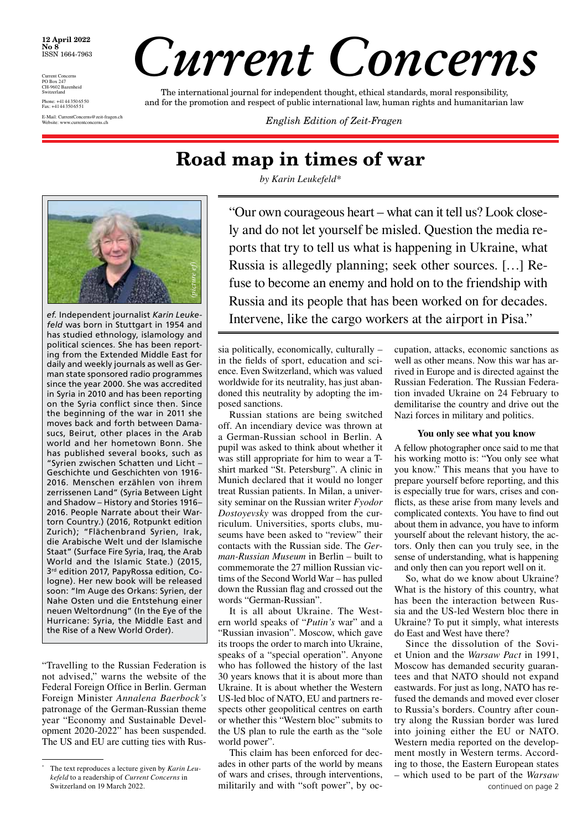#### **12 April 2022 No 8** ISSN 1664-7963

Current Concerns PO Box 247 CH-9602 Bazenheid **Switzerland** Phone: +4144 350 6550 Fax: +4144 350 6551 E-Mail: CurrentConcerns@zeit-fragen.ch

# *Current Concerns*

The international journal for independent thought, ethical standards, moral responsibility, and for the promotion and respect of public international law, human rights and humanitarian law

**English Edition of Zeit-Fragen** 

# **Road map in times of war**

*by Karin Leukefeld\**



*ef.* Independent journalist *Karin Leukefeld* was born in Stuttgart in 1954 and has studied ethnology, islamology and political sciences. She has been reporting from the Extended Middle East for daily and weekly journals as well as German state sponsored radio programmes since the year 2000. She was accredited in Syria in 2010 and has been reporting on the Syria conflict since then. Since the beginning of the war in 2011 she moves back and forth between Damasucs, Beirut, other places in the Arab world and her hometown Bonn. She has published several books, such as "Syrien zwischen Schatten und Licht – Geschichte und Geschichten von 1916- 2016. Menschen erzählen von ihrem zerrissenen Land" (Syria Between Light and Shadow – History and Stories 1916– 2016. People Narrate about their Wartorn Country.) (2016, Rotpunkt edition Zurich); "Flächenbrand Syrien, Irak, die Arabische Welt und der Islamische Staat" (Surface Fire Syria, Iraq, the Arab World and the Islamic State.) (2015, 3rd edition 2017, PapyRossa edition, Cologne). Her new book will be released soon: "Im Auge des Orkans: Syrien, der Nahe Osten und die Entstehung einer neuen Weltordnung" (In the Eye of the Hurricane: Syria, the Middle East and the Rise of a New World Order).

"Travelling to the Russian Federation is not advised," warns the website of the Federal Foreign Office in Berlin. German Foreign Minister *Annalena Baerbock's* patronage of the German-Russian theme year "Economy and Sustainable Development 2020-2022" has been suspended. The US and EU are cutting ties with Rus"Our own courageous heart – what can it tell us? Look closely and do not let yourself be misled. Question the media reports that try to tell us what is happening in Ukraine, what Russia is allegedly planning; seek other sources. […] Refuse to become an enemy and hold on to the friendship with Russia and its people that has been worked on for decades. Intervene, like the cargo workers at the airport in Pisa."

sia politically, economically, culturally – in the fields of sport, education and science. Even Switzerland, which was valued worldwide for its neutrality, has just abandoned this neutrality by adopting the imposed sanctions.

Russian stations are being switched off. An incendiary device was thrown at a German-Russian school in Berlin. A pupil was asked to think about whether it was still appropriate for him to wear a Tshirt marked "St. Petersburg". A clinic in Munich declared that it would no longer treat Russian patients. In Milan, a university seminar on the Russian writer *Fyodor Dostoyevsky* was dropped from the curriculum. Universities, sports clubs, museums have been asked to "review" their contacts with the Russian side. The *German-Russian Museum* in Berlin – built to commemorate the 27 million Russian victims of the Second World War – has pulled down the Russian flag and crossed out the words "German-Russian".

It is all about Ukraine. The Western world speaks of "*Putin's* war" and a "Russian invasion". Moscow, which gave its troops the order to march into Ukraine, speaks of a "special operation". Anyone who has followed the history of the last 30 years knows that it is about more than Ukraine. It is about whether the Western US-led bloc of NATO, EU and partners respects other geopolitical centres on earth or whether this "Western bloc" submits to the US plan to rule the earth as the "sole world power".

This claim has been enforced for decades in other parts of the world by means of wars and crises, through interventions, militarily and with "soft power", by oc-

cupation, attacks, economic sanctions as well as other means. Now this war has arrived in Europe and is directed against the Russian Federation. The Russian Federation invaded Ukraine on 24 February to demilitarise the country and drive out the Nazi forces in military and politics.

#### **You only see what you know**

A fellow photographer once said to me that his working motto is: "You only see what you know." This means that you have to prepare yourself before reporting, and this is especially true for wars, crises and conflicts, as these arise from many levels and complicated contexts. You have to find out about them in advance, you have to inform yourself about the relevant history, the actors. Only then can you truly see, in the sense of understanding, what is happening and only then can you report well on it.

So, what do we know about Ukraine? What is the history of this country, what has been the interaction between Russia and the US-led Western bloc there in Ukraine? To put it simply, what interests do East and West have there?

continued on page 2 Since the dissolution of the Soviet Union and the *Warsaw Pact* in 1991, Moscow has demanded security guarantees and that NATO should not expand eastwards. For just as long, NATO has refused the demands and moved ever closer to Russia's borders. Country after country along the Russian border was lured into joining either the EU or NATO. Western media reported on the development mostly in Western terms. According to those, the Eastern European states – which used to be part of the *Warsaw* 

The text reproduces a lecture given by *Karin Leukefeld* to a readership of *Current Concerns* in Switzerland on 19 March 2022.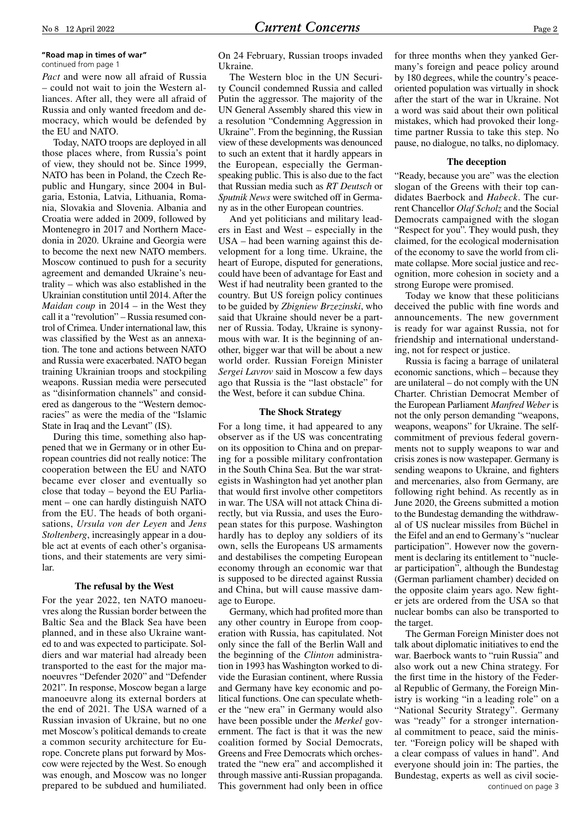#### **"Road map in times of war"** continued from page 1

*Pact* and were now all afraid of Russia – could not wait to join the Western alliances. After all, they were all afraid of Russia and only wanted freedom and democracy, which would be defended by the EU and NATO.

Today, NATO troops are deployed in all those places where, from Russia's point of view, they should not be. Since 1999, NATO has been in Poland, the Czech Republic and Hungary, since 2004 in Bulgaria, Estonia, Latvia, Lithuania, Romania, Slovakia and Slovenia. Albania and Croatia were added in 2009, followed by Montenegro in 2017 and Northern Macedonia in 2020. Ukraine and Georgia were to become the next new NATO members. Moscow continued to push for a security agreement and demanded Ukraine's neutrality – which was also established in the Ukrainian constitution until 2014. After the *Maidan coup* in 2014 – in the West they call it a "revolution" – Russia resumed control of Crimea. Under international law, this was classified by the West as an annexation. The tone and actions between NATO and Russia were exacerbated. NATO began training Ukrainian troops and stockpiling weapons. Russian media were persecuted as "disinformation channels" and considered as dangerous to the "Western democracies" as were the media of the "Islamic State in Iraq and the Levant" (IS).

During this time, something also happened that we in Germany or in other European countries did not really notice: The cooperation between the EU and NATO became ever closer and eventually so close that today – beyond the EU Parliament – one can hardly distinguish NATO from the EU. The heads of both organisations, *Ursula von der Leyen* and *Jens Stoltenberg*, increasingly appear in a double act at events of each other's organisations, and their statements are very similar.

#### **The refusal by the West**

For the year 2022, ten NATO manoeuvres along the Russian border between the Baltic Sea and the Black Sea have been planned, and in these also Ukraine wanted to and was expected to participate. Soldiers and war material had already been transported to the east for the major manoeuvres "Defender 2020" and "Defender 2021". In response, Moscow began a large manoeuvre along its external borders at the end of 2021. The USA warned of a Russian invasion of Ukraine, but no one met Moscow's political demands to create a common security architecture for Europe. Concrete plans put forward by Moscow were rejected by the West. So enough was enough, and Moscow was no longer prepared to be subdued and humiliated.

On 24 February, Russian troops invaded Ukraine.

The Western bloc in the UN Security Council condemned Russia and called Putin the aggressor. The majority of the UN General Assembly shared this view in a resolution "Condemning Aggression in Ukraine". From the beginning, the Russian view of these developments was denounced to such an extent that it hardly appears in the European, especially the Germanspeaking public. This is also due to the fact that Russian media such as *RT Deutsch* or *Sputnik News* were switched off in Germany as in the other European countries.

And yet politicians and military leaders in East and West – especially in the USA – had been warning against this development for a long time. Ukraine, the heart of Europe, disputed for generations, could have been of advantage for East and West if had neutrality been granted to the country. But US foreign policy continues to be guided by *Zbigniew Brzezinski*, who said that Ukraine should never be a partner of Russia. Today, Ukraine is synonymous with war. It is the beginning of another, bigger war that will be about a new world order. Russian Foreign Minister *Sergei Lavrov* said in Moscow a few days ago that Russia is the "last obstacle" for the West, before it can subdue China.

#### **The Shock Strategy**

For a long time, it had appeared to any observer as if the US was concentrating on its opposition to China and on preparing for a possible military confrontation in the South China Sea. But the war strategists in Washington had yet another plan that would first involve other competitors in war. The USA will not attack China directly, but via Russia, and uses the European states for this purpose. Washington hardly has to deploy any soldiers of its own, sells the Europeans US armaments and destabilises the competing European economy through an economic war that is supposed to be directed against Russia and China, but will cause massive damage to Europe.

Germany, which had profited more than any other country in Europe from cooperation with Russia, has capitulated. Not only since the fall of the Berlin Wall and the beginning of the *Clinton* administration in 1993 has Washington worked to divide the Eurasian continent, where Russia and Germany have key economic and political functions. One can speculate whether the "new era" in Germany would also have been possible under the *Merkel* government. The fact is that it was the new coalition formed by Social Democrats, Greens and Free Democrats which orchestrated the "new era" and accomplished it through massive anti-Russian propaganda. This government had only been in office

for three months when they yanked Germany's foreign and peace policy around by 180 degrees, while the country's peaceoriented population was virtually in shock after the start of the war in Ukraine. Not a word was said about their own political mistakes, which had provoked their longtime partner Russia to take this step. No pause, no dialogue, no talks, no diplomacy.

#### **The deception**

"Ready, because you are" was the election slogan of the Greens with their top candidates Baerbock and *Habeck*. The current Chancellor *Olaf Scholz* and the Social Democrats campaigned with the slogan "Respect for you". They would push, they claimed, for the ecological modernisation of the economy to save the world from climate collapse. More social justice and recognition, more cohesion in society and a strong Europe were promised.

Today we know that these politicians deceived the public with fine words and announcements. The new government is ready for war against Russia, not for friendship and international understanding, not for respect or justice.

Russia is facing a barrage of unilateral economic sanctions, which – because they are unilateral – do not comply with the UN Charter. Christian Democrat Member of the European Parliament *Manfred Weber* is not the only person demanding "weapons, weapons, weapons" for Ukraine. The selfcommitment of previous federal governments not to supply weapons to war and crisis zones is now wastepaper. Germany is sending weapons to Ukraine, and fighters and mercenaries, also from Germany, are following right behind. As recently as in June 2020, the Greens submitted a motion to the Bundestag demanding the withdrawal of US nuclear missiles from Büchel in the Eifel and an end to Germany's "nuclear participation". However now the government is declaring its entitlement to "nuclear participation", although the Bundestag (German parliament chamber) decided on the opposite claim years ago. New fighter jets are ordered from the USA so that nuclear bombs can also be transported to the target.

The German Foreign Minister does not talk about diplomatic initiatives to end the war. Baerbock wants to "ruin Russia" and also work out a new China strategy. For the first time in the history of the Federal Republic of Germany, the Foreign Ministry is working "in a leading role" on a "National Security Strategy". Germany was "ready" for a stronger international commitment to peace, said the minister. "Foreign policy will be shaped with a clear compass of values in hand". And everyone should join in: The parties, the Bundestag, experts as well as civil socie continued on page 3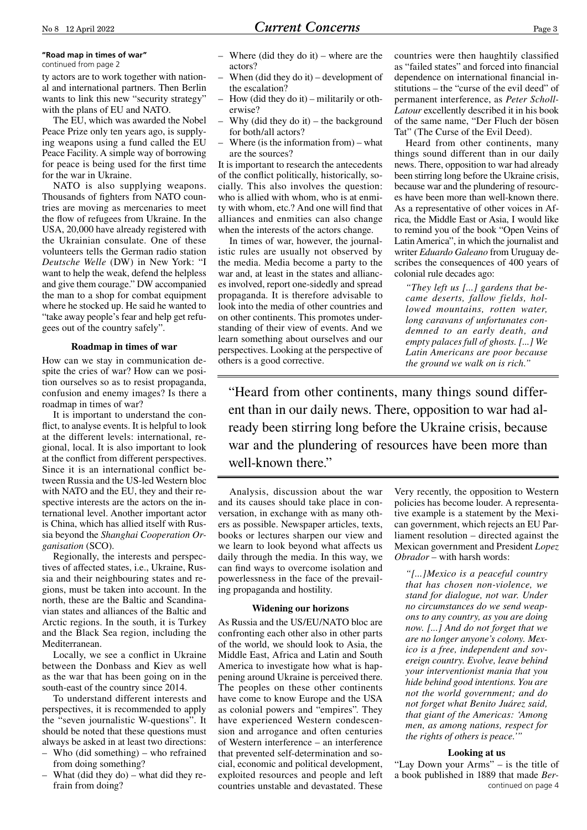#### **"Road map in times of war"**

continued from page 2

ty actors are to work together with national and international partners. Then Berlin wants to link this new "security strategy" with the plans of EU and NATO.

The EU, which was awarded the Nobel Peace Prize only ten years ago, is supplying weapons using a fund called the EU Peace Facility. A simple way of borrowing for peace is being used for the first time for the war in Ukraine.

NATO is also supplying weapons. Thousands of fighters from NATO countries are moving as mercenaries to meet the flow of refugees from Ukraine. In the USA, 20,000 have already registered with the Ukrainian consulate. One of these volunteers tells the German radio station *Deutsche Welle* (DW) in New York: "I want to help the weak, defend the helpless and give them courage." DW accompanied the man to a shop for combat equipment where he stocked up. He said he wanted to "take away people's fear and help get refugees out of the country safely".

#### **Roadmap in times of war**

How can we stay in communication despite the cries of war? How can we position ourselves so as to resist propaganda, confusion and enemy images? Is there a roadmap in times of war?

It is important to understand the conflict, to analyse events. It is helpful to look at the different levels: international, regional, local. It is also important to look at the conflict from different perspectives. Since it is an international conflict between Russia and the US-led Western bloc with NATO and the EU, they and their respective interests are the actors on the international level. Another important actor is China, which has allied itself with Russia beyond the *Shanghai Cooperation Organisation* (SCO).

Regionally, the interests and perspectives of affected states, i.e., Ukraine, Russia and their neighbouring states and regions, must be taken into account. In the north, these are the Baltic and Scandinavian states and alliances of the Baltic and Arctic regions. In the south, it is Turkey and the Black Sea region, including the Mediterranean.

Locally, we see a conflict in Ukraine between the Donbass and Kiev as well as the war that has been going on in the south-east of the country since 2014.

To understand different interests and perspectives, it is recommended to apply the "seven journalistic W-questions". It should be noted that these questions must always be asked in at least two directions:

- Who (did something) who refrained from doing something?
- What (did they  $d$ o) what did they refrain from doing?
- Where (did they do it) where are the actors?
- When (did they do it) development of the escalation?
- How (did they do it) militarily or otherwise?
- Why (did they do it) the background for both/all actors?
- Where (is the information from) what are the sources?

It is important to research the antecedents of the conflict politically, historically, socially. This also involves the question: who is allied with whom, who is at enmity with whom, etc.? And one will find that alliances and enmities can also change when the interests of the actors change.

In times of war, however, the journalistic rules are usually not observed by the media. Media become a party to the war and, at least in the states and alliances involved, report one-sidedly and spread propaganda. It is therefore advisable to look into the media of other countries and on other continents. This promotes understanding of their view of events. And we learn something about ourselves and our perspectives. Looking at the perspective of others is a good corrective.

countries were then haughtily classified as "failed states" and forced into financial dependence on international financial institutions – the "curse of the evil deed" of permanent interference, as *Peter Scholl-Latour* excellently described it in his book of the same name, "Der Fluch der bösen Tat" (The Curse of the Evil Deed).

Heard from other continents, many things sound different than in our daily news. There, opposition to war had already been stirring long before the Ukraine crisis, because war and the plundering of resources have been more than well-known there. As a representative of other voices in Africa, the Middle East or Asia, I would like to remind you of the book "Open Veins of Latin America", in which the journalist and writer *Eduardo Galeano* from Uruguay describes the consequences of 400 years of colonial rule decades ago:

*"They left us [...] gardens that became deserts, fallow fields, hollowed mountains, rotten water, long caravans of unfortunates condemned to an early death, and empty palaces full of ghosts. [...] We Latin Americans are poor because the ground we walk on is rich."*

"Heard from other continents, many things sound different than in our daily news. There, opposition to war had already been stirring long before the Ukraine crisis, because war and the plundering of resources have been more than well-known there."

Analysis, discussion about the war and its causes should take place in conversation, in exchange with as many others as possible. Newspaper articles, texts, books or lectures sharpen our view and we learn to look beyond what affects us daily through the media. In this way, we can find ways to overcome isolation and powerlessness in the face of the prevailing propaganda and hostility.

#### **Widening our horizons**

As Russia and the US/EU/NATO bloc are confronting each other also in other parts of the world, we should look to Asia, the Middle East, Africa and Latin and South America to investigate how what is happening around Ukraine is perceived there. The peoples on these other continents have come to know Europe and the USA as colonial powers and "empires". They have experienced Western condescension and arrogance and often centuries of Western interference – an interference that prevented self-determination and social, economic and political development, exploited resources and people and left countries unstable and devastated. These

Very recently, the opposition to Western policies has become louder. A representative example is a statement by the Mexican government, which rejects an EU Parliament resolution – directed against the Mexican government and President *Lopez Obrador* – with harsh words:

*"[...]Mexico is a peaceful country that has chosen non-violence, we stand for dialogue, not war. Under no circumstances do we send weapons to any country, as you are doing now. [...] And do not forget that we are no longer anyone's colony. Mexico is a free, independent and sovereign country. Evolve, leave behind your interventionist mania that you hide behind good intentions. You are not the world government; and do not forget what Benito Juárez said, that giant of the Americas: 'Among men, as among nations, respect for the rights of others is peace.'"*

#### **Looking at us**

"Lay Down your Arms" – is the title of a book published in 1889 that made *Ber*continued on page 4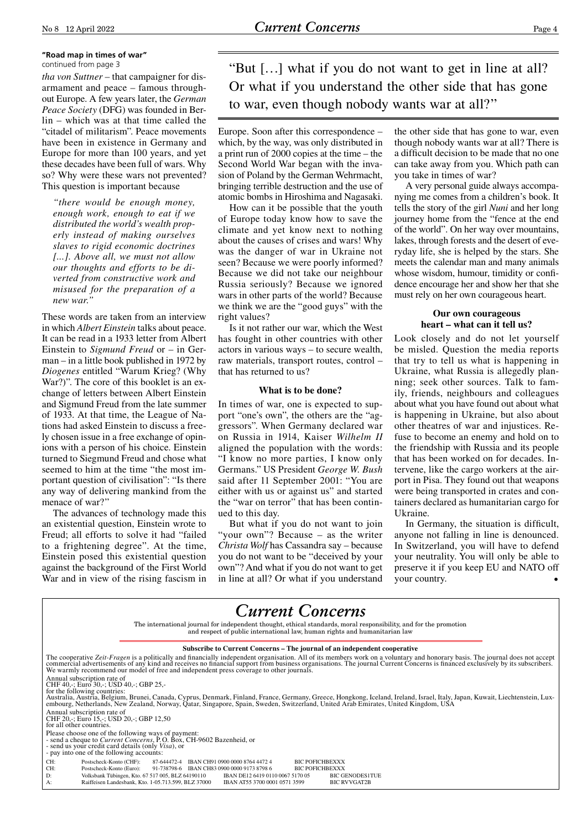## **"Road map in times of war"**

*tha von Suttner* – that campaigner for disarmament and peace – famous throughout Europe. A few years later, the *German Peace Society* (DFG) was founded in Berlin – which was at that time called the "citadel of militarism". Peace movements have been in existence in Germany and Europe for more than 100 years, and yet these decades have been full of wars. Why so? Why were these wars not prevented? This question is important because

*"there would be enough money, enough work, enough to eat if we distributed the world's wealth properly instead of making ourselves slaves to rigid economic doctrines [...]. Above all, we must not allow our thoughts and efforts to be diverted from constructive work and misused for the preparation of a new war."*

These words are taken from an interview in which *Albert Einstein* talks about peace. It can be read in a 1933 letter from Albert Einstein to *Sigmund Freud* or – in German – in a little book published in 1972 by *Diogenes* entitled "Warum Krieg? (Why War?)". The core of this booklet is an exchange of letters between Albert Einstein and Sigmund Freud from the late summer of 1933. At that time, the League of Nations had asked Einstein to discuss a freely chosen issue in a free exchange of opinions with a person of his choice. Einstein turned to Siegmund Freud and chose what seemed to him at the time "the most important question of civilisation": "Is there any way of delivering mankind from the menace of war?"

The advances of technology made this an existential question, Einstein wrote to Freud; all efforts to solve it had "failed to a frightening degree". At the time, Einstein posed this existential question against the background of the First World War and in view of the rising fascism in

continued from page 3 "But [...] what if you do not want to get in line at all? Or what if you understand the other side that has gone to war, even though nobody wants war at all?"

> Europe. Soon after this correspondence – which, by the way, was only distributed in a print run of 2000 copies at the time – the Second World War began with the invasion of Poland by the German Wehrmacht, bringing terrible destruction and the use of atomic bombs in Hiroshima and Nagasaki.

> How can it be possible that the youth of Europe today know how to save the climate and yet know next to nothing about the causes of crises and wars! Why was the danger of war in Ukraine not seen? Because we were poorly informed? Because we did not take our neighbour Russia seriously? Because we ignored wars in other parts of the world? Because we think we are the "good guys" with the right values?

> Is it not rather our war, which the West has fought in other countries with other actors in various ways – to secure wealth, raw materials, transport routes, control – that has returned to us?

#### **What is to be done?**

In times of war, one is expected to support "one's own", the others are the "aggressors". When Germany declared war on Russia in 1914, Kaiser *Wilhelm II* aligned the population with the words: "I know no more parties, I know only Germans." US President *George W. Bush*  said after 11 September 2001: "You are either with us or against us" and started the "war on terror" that has been continued to this day.

But what if you do not want to join "your own"? Because – as the writer *Christa Wolf* has Cassandra say – because you do not want to be "deceived by your own"? And what if you do not want to get in line at all? Or what if you understand

the other side that has gone to war, even though nobody wants war at all? There is a difficult decision to be made that no one can take away from you. Which path can you take in times of war?

A very personal guide always accompanying me comes from a children's book. It tells the story of the girl *Nuni* and her long journey home from the "fence at the end of the world". On her way over mountains, lakes, through forests and the desert of everyday life, she is helped by the stars. She meets the calendar man and many animals whose wisdom, humour, timidity or confidence encourage her and show her that she must rely on her own courageous heart.

#### **Our own courageous heart – what can it tell us?**

Look closely and do not let yourself be misled. Question the media reports that try to tell us what is happening in Ukraine, what Russia is allegedly planning; seek other sources. Talk to family, friends, neighbours and colleagues about what you have found out about what is happening in Ukraine, but also about other theatres of war and injustices. Refuse to become an enemy and hold on to the friendship with Russia and its people that has been worked on for decades. Intervene, like the cargo workers at the airport in Pisa. They found out that weapons were being transported in crates and containers declared as humanitarian cargo for Ukraine.

In Germany, the situation is difficult, anyone not falling in line is denounced. In Switzerland, you will have to defend your neutrality. You will only be able to preserve it if you keep EU and NATO off your country.

## *Current Concerns* The international journal for independent thought, ethical standards, moral responsibility, and for the promotion and respect of public international law, human rights and humanitarian law **Subscribe to Current Concerns – The journal of an independent cooperative** The cooperative Zeit-Fragen is a politically and financially independent organisation. All of its members work on a voluntary and honorary basis. The journal does not accept<br>commercial advertisements of any kind and receiv Annual subscription rate of CHF 40,-; Euro 30,-; USD 40,-; GBP 25,-<br>for the following countries:<br>Australia, Austria, Belgium, Brunei, Canada, Cyprus, Denmark, Finland, France, Germany, Greece, Hongkong, Iceland, Ireland, Israel, Italy, Japan, Kuwait, Annual subscription rate of CHF 20,-; Euro 15,-; USD 20,-; GBP 12,50 for all other countries. Please choose one of the following ways of payment: - send a cheque to *Current Concerns*, P.O. Box, CH-9602 Bazenheid, or - send us your credit card details (only *Visa*), or - pay into one of the following accounts: CH: Postscheck-Konto (CHF): 87-644472-4 IBAN CH91 0900 0000 8764 4472 4 BIC POFICHBEXXX CH: Postscheck-Konto (Euro): 91-738798-6 IBAN CH83 0900 0000 9173 8798 6 BIC POFICHBEXXX<br>D: Volksbank Tübingen, Kto. 67 517 005, BLZ 64190110 IBAN DE12 64 A: Raiffeisen Landesbank, Kto. 1-05.713.599, BLZ 37000 IBAN AT55 3700 0001 0571 3599 BIC RVVGAT2B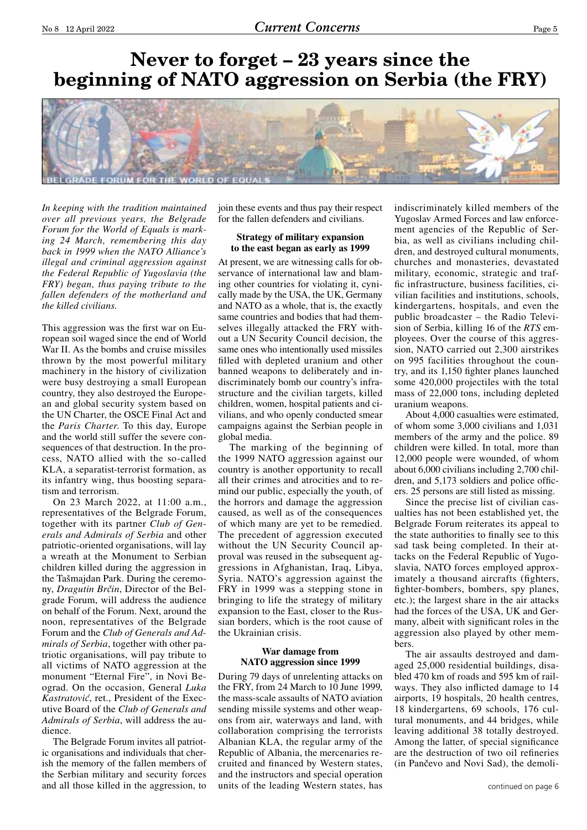# **Never to forget – 23 years since the beginning of NATO aggression on Serbia (the FRY)**



*In keeping with the tradition maintained over all previous years, the Belgrade Forum for the World of Equals is marking 24 March, remembering this day back in 1999 when the NATO Alliance's illegal and criminal aggression against the Federal Republic of Yugoslavia (the FRY) began, thus paying tribute to the fallen defenders of the motherland and the killed civilians.*

This aggression was the first war on European soil waged since the end of World War II. As the bombs and cruise missiles thrown by the most powerful military machinery in the history of civilization were busy destroying a small European country, they also destroyed the European and global security system based on the UN Charter, the OSCE Final Act and the *Paris Charter*. To this day, Europe and the world still suffer the severe consequences of that destruction. In the process, NATO allied with the so-called KLA, a separatist-terrorist formation, as its infantry wing, thus boosting separatism and terrorism.

On 23 March 2022, at 11:00 a.m., representatives of the Belgrade Forum, together with its partner *Club of Generals and Admirals of Serbia* and other patriotic-oriented organisations, will lay a wreath at the Monument to Serbian children killed during the aggression in the Tašmajdan Park. During the ceremony, *Dragutin Brčin*, Director of the Belgrade Forum, will address the audience on behalf of the Forum. Next, around the noon, representatives of the Belgrade Forum and the *Club of Generals and Admirals of Serbia*, together with other patriotic organisations, will pay tribute to all victims of NATO aggression at the monument "Eternal Fire", in Novi Beograd. On the occasion, General *Luka Kastratović*, ret., President of the Executive Board of the *Club of Generals and Admirals of Serbia*, will address the audience.

The Belgrade Forum invites all patriotic organisations and individuals that cherish the memory of the fallen members of the Serbian military and security forces and all those killed in the aggression, to join these events and thus pay their respect for the fallen defenders and civilians.

#### **Strategy of military expansion to the east began as early as 1999**

At present, we are witnessing calls for observance of international law and blaming other countries for violating it, cynically made by the USA, the UK, Germany and NATO as a whole, that is, the exactly same countries and bodies that had themselves illegally attacked the FRY without a UN Security Council decision, the same ones who intentionally used missiles filled with depleted uranium and other banned weapons to deliberately and indiscriminately bomb our country's infrastructure and the civilian targets, killed children, women, hospital patients and civilians, and who openly conducted smear campaigns against the Serbian people in global media.

The marking of the beginning of the 1999 NATO aggression against our country is another opportunity to recall all their crimes and atrocities and to remind our public, especially the youth, of the horrors and damage the aggression caused, as well as of the consequences of which many are yet to be remedied. The precedent of aggression executed without the UN Security Council approval was reused in the subsequent aggressions in Afghanistan, Iraq, Libya, Syria. NATO's aggression against the FRY in 1999 was a stepping stone in bringing to life the strategy of military expansion to the East, closer to the Russian borders, which is the root cause of the Ukrainian crisis.

#### **War damage from NATO aggression since 1999**

During 79 days of unrelenting attacks on the FRY, from 24 March to 10 June 1999, the mass-scale assaults of NATO aviation sending missile systems and other weapons from air, waterways and land, with collaboration comprising the terrorists Albanian KLA, the regular army of the Republic of Albania, the mercenaries recruited and financed by Western states, and the instructors and special operation units of the leading Western states, has

indiscriminately killed members of the Yugoslav Armed Forces and law enforcement agencies of the Republic of Serbia, as well as civilians including children, and destroyed cultural monuments, churches and monasteries, devastated military, economic, strategic and traffic infrastructure, business facilities, civilian facilities and institutions, schools, kindergartens, hospitals, and even the public broadcaster – the Radio Television of Serbia, killing 16 of the *RTS* employees. Over the course of this aggression, NATO carried out 2,300 airstrikes on 995 facilities throughout the country, and its 1,150 fighter planes launched some 420,000 projectiles with the total mass of 22,000 tons, including depleted uranium weapons.

About 4,000 casualties were estimated, of whom some 3,000 civilians and 1,031 members of the army and the police. 89 children were killed. In total, more than 12,000 people were wounded, of whom about 6,000 civilians including 2,700 children, and 5,173 soldiers and police officers. 25 persons are still listed as missing.

Since the precise list of civilian casualties has not been established yet, the Belgrade Forum reiterates its appeal to the state authorities to finally see to this sad task being completed. In their attacks on the Federal Republic of Yugoslavia, NATO forces employed approximately a thousand aircrafts (fighters, fighter-bombers, bombers, spy planes, etc.); the largest share in the air attacks had the forces of the USA, UK and Germany, albeit with significant roles in the aggression also played by other members.

The air assaults destroyed and damaged 25,000 residential buildings, disabled 470 km of roads and 595 km of railways. They also inflicted damage to 14 airports, 19 hospitals, 20 health centres, 18 kindergartens, 69 schools, 176 cultural monuments, and 44 bridges, while leaving additional 38 totally destroyed. Among the latter, of special significance are the destruction of two oil refineries (in Pančevo and Novi Sad), the demoli-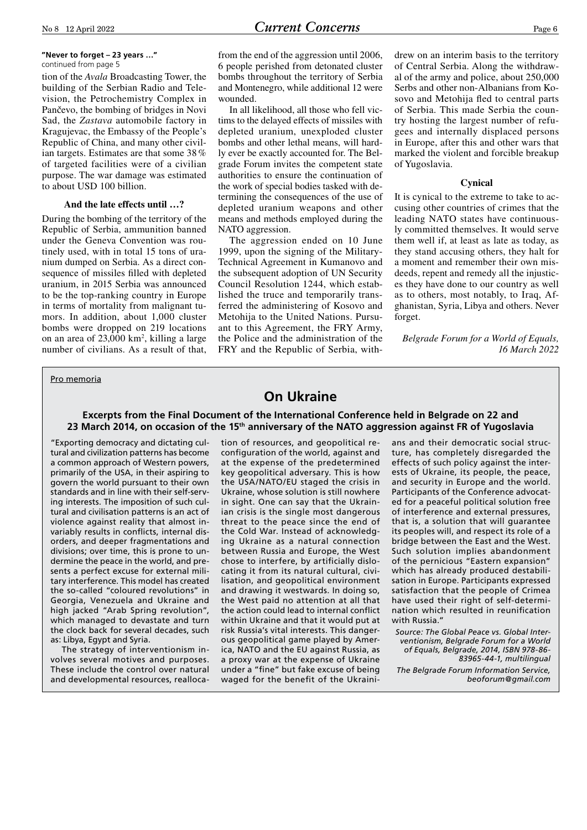#### **"Never to forget – 23 years …"** continued from page 5

tion of the *Avala* Broadcasting Tower, the building of the Serbian Radio and Television, the Petrochemistry Complex in Pančevo, the bombing of bridges in Novi Sad, the *Zastava* automobile factory in Kragujevac, the Embassy of the People's Republic of China, and many other civilian targets. Estimates are that some 38 % of targeted facilities were of a civilian purpose. The war damage was estimated to about USD 100 billion.

#### **And the late effects until …?**

During the bombing of the territory of the Republic of Serbia, ammunition banned under the Geneva Convention was routinely used, with in total 15 tons of uranium dumped on Serbia. As a direct consequence of missiles filled with depleted uranium, in 2015 Serbia was announced to be the top-ranking country in Europe in terms of mortality from malignant tumors. In addition, about 1,000 cluster bombs were dropped on 219 locations on an area of  $23,000 \text{ km}^2$ , killing a large number of civilians. As a result of that,

from the end of the aggression until 2006, 6 people perished from detonated cluster bombs throughout the territory of Serbia and Montenegro, while additional 12 were wounded.

In all likelihood, all those who fell victims to the delayed effects of missiles with depleted uranium, unexploded cluster bombs and other lethal means, will hardly ever be exactly accounted for. The Belgrade Forum invites the competent state authorities to ensure the continuation of the work of special bodies tasked with determining the consequences of the use of depleted uranium weapons and other means and methods employed during the NATO aggression.

The aggression ended on 10 June 1999, upon the signing of the Military-Technical Agreement in Kumanovo and the subsequent adoption of UN Security Council Resolution 1244, which established the truce and temporarily transferred the administering of Kosovo and Metohija to the United Nations. Pursuant to this Agreement, the FRY Army, the Police and the administration of the FRY and the Republic of Serbia, withdrew on an interim basis to the territory of Central Serbia. Along the withdrawal of the army and police, about 250,000 Serbs and other non-Albanians from Kosovo and Metohija fled to central parts of Serbia. This made Serbia the country hosting the largest number of refugees and internally displaced persons in Europe, after this and other wars that marked the violent and forcible breakup of Yugoslavia.

#### **Cynical**

It is cynical to the extreme to take to accusing other countries of crimes that the leading NATO states have continuously committed themselves. It would serve them well if, at least as late as today, as they stand accusing others, they halt for a moment and remember their own misdeeds, repent and remedy all the injustices they have done to our country as well as to others, most notably, to Iraq, Afghanistan, Syria, Libya and others. Never forget.

*Belgrade Forum for a World of Equals, 16 March 2022*

#### Pro memoria

## **On Ukraine**

#### **Excerpts from the Final Document of the International Conference held in Belgrade on 22 and 23 March 2014, on occasion of the 15th anniversary of the NATO aggression against FR of Yugoslavia**

"Exporting democracy and dictating cultural and civilization patterns has become a common approach of Western powers, primarily of the USA, in their aspiring to govern the world pursuant to their own standards and in line with their self-serving interests. The imposition of such cultural and civilisation patterns is an act of violence against reality that almost invariably results in conflicts, internal disorders, and deeper fragmentations and divisions; over time, this is prone to undermine the peace in the world, and presents a perfect excuse for external military interference. This model has created the so-called "coloured revolutions" in Georgia, Venezuela and Ukraine and high jacked "Arab Spring revolution", which managed to devastate and turn the clock back for several decades, such as: Libya, Egypt and Syria.

The strategy of interventionism involves several motives and purposes. These include the control over natural and developmental resources, reallocation of resources, and geopolitical reconfiguration of the world, against and at the expense of the predetermined key geopolitical adversary. This is how the USA/NATO/EU staged the crisis in Ukraine, whose solution is still nowhere in sight. One can say that the Ukrainian crisis is the single most dangerous threat to the peace since the end of the Cold War. Instead of acknowledging Ukraine as a natural connection between Russia and Europe, the West chose to interfere, by artificially dislocating it from its natural cultural, civilisation, and geopolitical environment and drawing it westwards. In doing so, the West paid no attention at all that the action could lead to internal conflict within Ukraine and that it would put at risk Russia's vital interests. This dangerous geopolitical game played by America, NATO and the EU against Russia, as a proxy war at the expense of Ukraine under a "fine" but fake excuse of being waged for the benefit of the Ukrainians and their democratic social structure, has completely disregarded the effects of such policy against the interests of Ukraine, its people, the peace, and security in Europe and the world. Participants of the Conference advocated for a peaceful political solution free of interference and external pressures, that is, a solution that will guarantee its peoples will, and respect its role of a bridge between the East and the West. Such solution implies abandonment of the pernicious "Eastern expansion" which has already produced destabilisation in Europe. Participants expressed satisfaction that the people of Crimea have used their right of self-determination which resulted in reunification with Russia."

*Source: The Global Peace vs. Global Interventionism, Belgrade Forum for a World of Equals, Belgrade, 2014, ISBN 978-86- 83965-44-1, multilingual* 

*The Belgrade Forum Information Service, beoforum@gmail.com*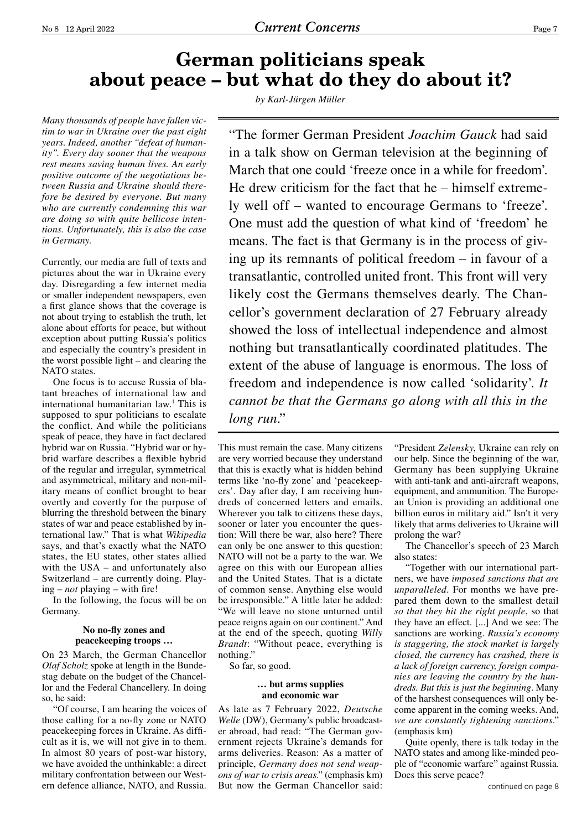# **German politicians speak about peace – but what do they do about it?**

*Many thousands of people have fallen victim to war in Ukraine over the past eight years. Indeed, another "defeat of humanity". Every day sooner that the weapons rest means saving human lives. An early positive outcome of the negotiations between Russia and Ukraine should therefore be desired by everyone. But many who are currently condemning this war are doing so with quite bellicose intentions. Unfortunately, this is also the case in Germany.*

Currently, our media are full of texts and pictures about the war in Ukraine every day. Disregarding a few internet media or smaller independent newspapers, even a first glance shows that the coverage is not about trying to establish the truth, let alone about efforts for peace, but without exception about putting Russia's politics and especially the country's president in the worst possible light – and clearing the NATO states.

One focus is to accuse Russia of blatant breaches of international law and international humanitarian law.1 This is supposed to spur politicians to escalate the conflict. And while the politicians speak of peace, they have in fact declared hybrid war on Russia. "Hybrid war or hybrid warfare describes a flexible hybrid of the regular and irregular, symmetrical and asymmetrical, military and non-military means of conflict brought to bear overtly and covertly for the purpose of blurring the threshold between the binary states of war and peace established by international law." That is what *Wikipedia*  says, and that's exactly what the NATO states, the EU states, other states allied with the USA – and unfortunately also Switzerland – are currently doing. Playing – *not* playing – with fire!

In the following, the focus will be on Germany.

#### **No no-fly zones and peacekeeping troops …**

On 23 March, the German Chancellor *Olaf Scholz* spoke at length in the Bundestag debate on the budget of the Chancellor and the Federal Chancellery. In doing so, he said:

"Of course, I am hearing the voices of those calling for a no-fly zone or NATO peacekeeping forces in Ukraine. As difficult as it is, we will not give in to them. In almost 80 years of post-war history, we have avoided the unthinkable: a direct military confrontation between our Western defence alliance, NATO, and Russia. *by Karl-Jürgen Müller*

"The former German President *Joachim Gauck* had said in a talk show on German television at the beginning of March that one could 'freeze once in a while for freedom'. He drew criticism for the fact that he – himself extremely well off – wanted to encourage Germans to 'freeze'. One must add the question of what kind of 'freedom' he means. The fact is that Germany is in the process of giving up its remnants of political freedom – in favour of a transatlantic, controlled united front. This front will very likely cost the Germans themselves dearly. The Chancellor's government declaration of 27 February already showed the loss of intellectual independence and almost nothing but transatlantically coordinated platitudes. The extent of the abuse of language is enormous. The loss of freedom and independence is now called 'solidarity'. *It cannot be that the Germans go along with all this in the long run*."

This must remain the case. Many citizens are very worried because they understand that this is exactly what is hidden behind terms like 'no-fly zone' and 'peacekeepers'. Day after day, I am receiving hundreds of concerned letters and emails. Wherever you talk to citizens these days, sooner or later you encounter the question: Will there be war, also here? There can only be one answer to this question: NATO will not be a party to the war. We agree on this with our European allies and the United States. That is a dictate of common sense. Anything else would be irresponsible." A little later he added: "We will leave no stone unturned until peace reigns again on our continent." And at the end of the speech, quoting *Willy Brandt*: "Without peace, everything is nothing."

So far, so good.

#### **… but arms supplies and economic war**

As late as 7 February 2022, *Deutsche Welle* (DW), Germany's public broadcaster abroad, had read: "The German government rejects Ukraine's demands for arms deliveries. Reason: As a matter of principle, *Germany does not send weapons of war to crisis areas*." (emphasis km) But now the German Chancellor said:

"President *Zelensky*, Ukraine can rely on our help. Since the beginning of the war, Germany has been supplying Ukraine with anti-tank and anti-aircraft weapons, equipment, and ammunition. The European Union is providing an additional one billion euros in military aid." Isn't it very likely that arms deliveries to Ukraine will prolong the war?

The Chancellor's speech of 23 March also states:

"Together with our international partners, we have *imposed sanctions that are unparalleled*. For months we have prepared them down to the smallest detail *so that they hit the right people*, so that they have an effect. [...] And we see: The sanctions are working. *Russia's economy is staggering, the stock market is largely closed, the currency has crashed, there is a lack of foreign currency, foreign companies are leaving the country by the hundreds. But this is just the beginning*. Many of the harshest consequences will only become apparent in the coming weeks. And, *we are constantly tightening sanctions*." (emphasis km)

Quite openly, there is talk today in the NATO states and among like-minded people of "economic warfare" against Russia. Does this serve peace?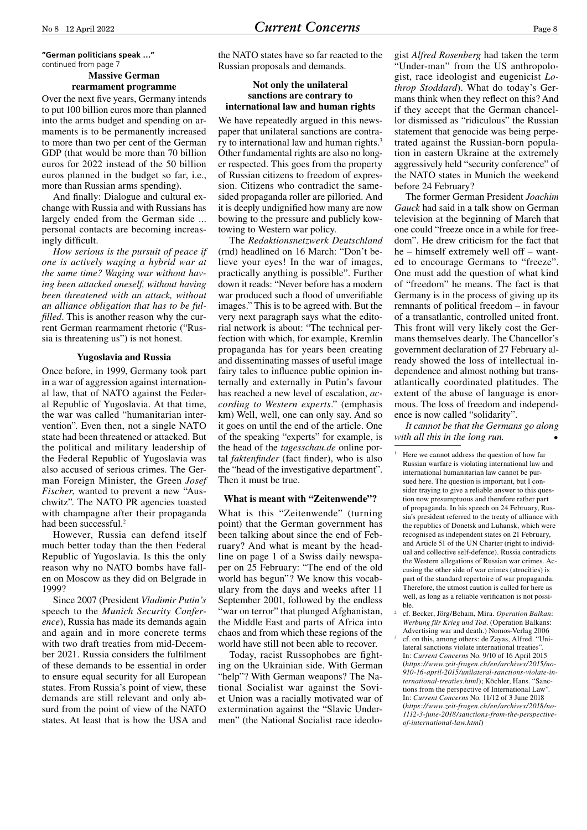**"German politicians speak …"** continued from page 7

## **Massive German**

**rearmament programme**

Over the next five years, Germany intends to put 100 billion euros more than planned into the arms budget and spending on armaments is to be permanently increased to more than two per cent of the German GDP (that would be more than 70 billion euros for 2022 instead of the 50 billion euros planned in the budget so far, i.e., more than Russian arms spending).

And finally: Dialogue and cultural exchange with Russia and with Russians has largely ended from the German side ... personal contacts are becoming increasingly difficult.

*How serious is the pursuit of peace if one is actively waging a hybrid war at the same time? Waging war without having been attacked oneself, without having been threatened with an attack, without an alliance obligation that has to be fulfilled*. This is another reason why the current German rearmament rhetoric ("Russia is threatening us") is not honest.

#### **Yugoslavia and Russia**

Once before, in 1999, Germany took part in a war of aggression against international law, that of NATO against the Federal Republic of Yugoslavia. At that time, the war was called "humanitarian intervention". Even then, not a single NATO state had been threatened or attacked. But the political and military leadership of the Federal Republic of Yugoslavia was also accused of serious crimes. The German Foreign Minister, the Green *Josef Fischer*, wanted to prevent a new "Auschwitz". The NATO PR agencies toasted with champagne after their propaganda had been successful.<sup>2</sup>

However, Russia can defend itself much better today than the then Federal Republic of Yugoslavia. Is this the only reason why no NATO bombs have fallen on Moscow as they did on Belgrade in 1999?

Since 2007 (President *Vladimir Putin's*  speech to the *Munich Security Conference*), Russia has made its demands again and again and in more concrete terms with two draft treaties from mid-December 2021. Russia considers the fulfilment of these demands to be essential in order to ensure equal security for all European states. From Russia's point of view, these demands are still relevant and only absurd from the point of view of the NATO states. At least that is how the USA and

the NATO states have so far reacted to the Russian proposals and demands.

#### **Not only the unilateral sanctions are contrary to international law and human rights**

We have repeatedly argued in this newspaper that unilateral sanctions are contrary to international law and human rights.<sup>3</sup> Other fundamental rights are also no longer respected. This goes from the property of Russian citizens to freedom of expression. Citizens who contradict the samesided propaganda roller are pilloried. And it is deeply undignified how many are now bowing to the pressure and publicly kowtowing to Western war policy.

The *Redaktionsnetzwerk Deutschland*  (rnd) headlined on 16 March: "Don't believe your eyes! In the war of images, practically anything is possible". Further down it reads: "Never before has a modern war produced such a flood of unverifiable images." This is to be agreed with. But the very next paragraph says what the editorial network is about: "The technical perfection with which, for example, Kremlin propaganda has for years been creating and disseminating masses of useful image fairy tales to influence public opinion internally and externally in Putin's favour has reached a new level of escalation, *according to Western experts*." (emphasis km) Well, well, one can only say. And so it goes on until the end of the article. One of the speaking "experts" for example, is the head of the *tagesschau.de* online portal *faktenfinder* (fact finder), who is also the "head of the investigative department". Then it must be true.

#### **What is meant with "Zeitenwende"?**

What is this "Zeitenwende" (turning point) that the German government has been talking about since the end of February? And what is meant by the headline on page 1 of a Swiss daily newspaper on 25 February: "The end of the old world has begun"? We know this vocabulary from the days and weeks after 11 September 2001, followed by the endless "war on terror" that plunged Afghanistan, the Middle East and parts of Africa into chaos and from which these regions of the world have still not been able to recover.

Today, racist Russophobes are fighting on the Ukrainian side. With German "help"? With German weapons? The National Socialist war against the Soviet Union was a racially motivated war of extermination against the "Slavic Undermen" (the National Socialist race ideologist *Alfred Rosenberg* had taken the term "Under-man" from the US anthropologist, race ideologist and eugenicist *Lothrop Stoddard*). What do today's Germans think when they reflect on this? And if they accept that the German chancellor dismissed as "ridiculous" the Russian statement that genocide was being perpetrated against the Russian-born population in eastern Ukraine at the extremely aggressively held "security conference" of the NATO states in Munich the weekend before 24 February?

The former German President *Joachim Gauck* had said in a talk show on German television at the beginning of March that one could "freeze once in a while for freedom". He drew criticism for the fact that he – himself extremely well off – wanted to encourage Germans to "freeze". One must add the question of what kind of "freedom" he means. The fact is that Germany is in the process of giving up its remnants of political freedom – in favour of a transatlantic, controlled united front. This front will very likely cost the Germans themselves dearly. The Chancellor's government declaration of 27 February already showed the loss of intellectual independence and almost nothing but transatlantically coordinated platitudes. The extent of the abuse of language is enormous. The loss of freedom and independence is now called "solidarity".

*It cannot be that the Germans go along*  with all this in the long run.

- Here we cannot address the question of how far Russian warfare is violating international law and international humanitarian law cannot be pursued here. The question is important, but I consider traying to give a reliable answer to this question now presumptuous and therefore rather part of propaganda. In his speech on 24 February, Russia's president referred to the treaty of alliance with the republics of Donetsk and Luhansk, which were recognised as independent states on 21 February, and Article 51 of the UN Charter (right to individual and collective self-defence). Russia contradicts the Western allegations of Russian war crimes. Accusing the other side of war crimes (atrocities) is part of the standard repertoire of war propaganda. Therefore, the utmost caution is called for here as well, as long as a reliable verification is not possible.
- <sup>2</sup> cf. Becker, Jörg/Beham, Mira. *Operation Balkan: Werbung für Krieg und Tod*. (Operation Balkans: Advertising war and death.) Nomos-Verlag 2006
- cf. on this, among others: de Zayas, Alfred. "Unilateral sanctions violate international treaties' In: *Current Concerns* No. 9/10 of 16 April 2015 (*https://www.zeit-fragen.ch/en/archives/2015/no-910-16-april-2015/unilateral-sanctions-violate-international-treaties.html*); Köchler, Hans. "Sanctions from the perspective of International Law". In: *Current Concerns* No. 11/12 of 3 June 2018 (*https://www.zeit-fragen.ch/en/archives/2018/no-1112-3-june-2018/sanctions-from-the-perspectiveof-international-law.html*)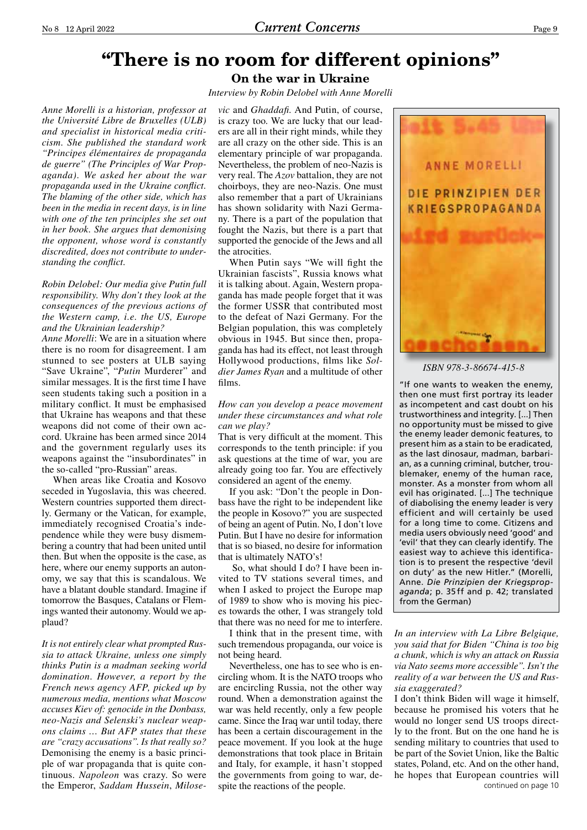*Interview by Robin Delobel with Anne Morelli*

*Anne Morelli is a historian, professor at the Université Libre de Bruxelles (ULB) and specialist in historical media criticism. She published the standard work "Principes élémentaires de propaganda de guerre" (The Principles of War Propaganda). We asked her about the war propaganda used in the Ukraine conflict. The blaming of the other side, which has been in the media in recent days, is in line with one of the ten principles she set out in her book. She argues that demonising the opponent, whose word is constantly discredited, does not contribute to understanding the conflict.*

#### *Robin Delobel: Our media give Putin full responsibility. Why don't they look at the consequences of the previous actions of the Western camp, i.e. the US, Europe and the Ukrainian leadership?*

*Anne Morelli*: We are in a situation where there is no room for disagreement. I am stunned to see posters at ULB saying "Save Ukraine", "*Putin* Murderer" and similar messages. It is the first time I have seen students taking such a position in a military conflict. It must be emphasised that Ukraine has weapons and that these weapons did not come of their own accord. Ukraine has been armed since 2014 and the government regularly uses its weapons against the "insubordinates" in the so-called "pro-Russian" areas.

When areas like Croatia and Kosovo seceded in Yugoslavia, this was cheered. Western countries supported them directly. Germany or the Vatican, for example, immediately recognised Croatia's independence while they were busy dismembering a country that had been united until then. But when the opposite is the case, as here, where our enemy supports an autonomy, we say that this is scandalous. We have a blatant double standard. Imagine if tomorrow the Basques, Catalans or Flemings wanted their autonomy. Would we applaud?

*It is not entirely clear what prompted Russia to attack Ukraine, unless one simply thinks Putin is a madman seeking world domination. However, a report by the French news agency AFP, picked up by numerous media, mentions what Moscow accuses Kiev of: genocide in the Donbass, neo-Nazis and Selenski's nuclear weapons claims … But AFP states that these are "crazy accusations". Is that really so?* Demonising the enemy is a basic principle of war propaganda that is quite continuous. *Napoleon* was crazy. So were the Emperor, *Saddam Hussein*, *Milose-* *vic* and *Ghaddafi*. And Putin, of course, is crazy too. We are lucky that our leaders are all in their right minds, while they are all crazy on the other side. This is an elementary principle of war propaganda. Nevertheless, the problem of neo-Nazis is very real. The *Azov* battalion, they are not choirboys, they are neo-Nazis. One must also remember that a part of Ukrainians has shown solidarity with Nazi Germany. There is a part of the population that fought the Nazis, but there is a part that supported the genocide of the Jews and all the atrocities.

When Putin says "We will fight the Ukrainian fascists", Russia knows what it is talking about. Again, Western propaganda has made people forget that it was the former USSR that contributed most to the defeat of Nazi Germany. For the Belgian population, this was completely obvious in 1945. But since then, propaganda has had its effect, not least through Hollywood productions, films like *Soldier James Ryan* and a multitude of other films.

#### *How can you develop a peace movement under these circumstances and what role can we play?*

That is very difficult at the moment. This corresponds to the tenth principle: if you ask questions at the time of war, you are already going too far. You are effectively considered an agent of the enemy.

If you ask: "Don't the people in Donbass have the right to be independent like the people in Kosovo?" you are suspected of being an agent of Putin. No, I don't love Putin. But I have no desire for information that is so biased, no desire for information that is ultimately NATO's!

 So, what should I do? I have been invited to TV stations several times, and when I asked to project the Europe map of 1989 to show who is moving his pieces towards the other, I was strangely told that there was no need for me to interfere.

I think that in the present time, with such tremendous propaganda, our voice is not being heard.

Nevertheless, one has to see who is encircling whom. It is the NATO troops who are encircling Russia, not the other way round. When a demonstration against the war was held recently, only a few people came. Since the Iraq war until today, there has been a certain discouragement in the peace movement. If you look at the huge demonstrations that took place in Britain and Italy, for example, it hasn't stopped the governments from going to war, despite the reactions of the people.



*ISBN 978-3-86674-415-8*

"If one wants to weaken the enemy, then one must first portray its leader as incompetent and cast doubt on his trustworthiness and integrity. [...] Then no opportunity must be missed to give the enemy leader demonic features, to present him as a stain to be eradicated, as the last dinosaur, madman, barbarian, as a cunning criminal, butcher, troublemaker, enemy of the human race, monster. As a monster from whom all evil has originated. [...] The technique of diabolising the enemy leader is very efficient and will certainly be used for a long time to come. Citizens and media users obviously need 'good' and 'evil' that they can clearly identify. The easiest way to achieve this identification is to present the respective 'devil on duty' as the new Hitler." (Morelli, Anne. *Die Prinzipien der Kriegspropaganda*; p. 35 ff and p. 42; translated from the German)

*In an interview with La Libre Belgique, you said that for Biden "China is too big a chunk, which is why an attack on Russia via Nato seems more accessible". Isn't the reality of a war between the US and Russia exaggerated?*

continued on page 10 I don't think Biden will wage it himself, because he promised his voters that he would no longer send US troops directly to the front. But on the one hand he is sending military to countries that used to be part of the Soviet Union, like the Baltic states, Poland, etc. And on the other hand, he hopes that European countries will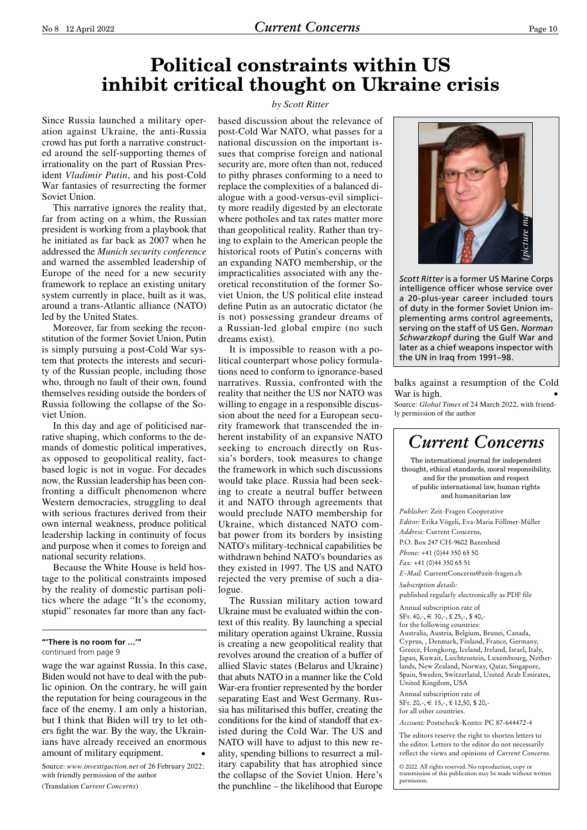# **Political constraints within US inhibit critical thought on Ukraine crisis**

Since Russia launched a military operation against Ukraine, the anti-Russia crowd has put forth a narrative constructed around the self-supporting themes of irrationality on the part of Russian President *Vladimir Putin*, and his post-Cold War fantasies of resurrecting the former Soviet Union.

This narrative ignores the reality that, far from acting on a whim, the Russian president is working from a playbook that he initiated as far back as 2007 when he addressed the *Munich security conference* and warned the assembled leadership of Europe of the need for a new security framework to replace an existing unitary system currently in place, built as it was, around a trans-Atlantic alliance (NATO) led by the United States.

Moreover, far from seeking the reconstitution of the former Soviet Union, Putin is simply pursuing a post-Cold War system that protects the interests and security of the Russian people, including those who, through no fault of their own, found themselves residing outside the borders of Russia following the collapse of the Soviet Union.

In this day and age of politicised narrative shaping, which conforms to the demands of domestic political imperatives, as opposed to geopolitical reality, factbased logic is not in vogue. For decades now, the Russian leadership has been confronting a difficult phenomenon where Western democracies, struggling to deal with serious fractures derived from their own internal weakness, produce political leadership lacking in continuity of focus and purpose when it comes to foreign and national security relations.

Because the White House is held hostage to the political constraints imposed by the reality of domestic partisan politics where the adage "It's the economy, stupid" resonates far more than any fact-

wage the war against Russia. In this case, Biden would not have to deal with the public opinion. On the contrary, he will gain the reputation for being courageous in the face of the enemy. I am only a historian, but I think that Biden will try to let others fight the war. By the way, the Ukrainians have already received an enormous amount of military equipment. •

Source: *www.investigaction.net* of 26 February 2022; with friendly permission of the author

(Translation *Current Concerns*)

#### *by Scott Ritter*

based discussion about the relevance of post-Cold War NATO, what passes for a national discussion on the important issues that comprise foreign and national security are, more often than not, reduced to pithy phrases conforming to a need to replace the complexities of a balanced dialogue with a good-versus-evil simplicity more readily digested by an electorate where potholes and tax rates matter more than geopolitical reality. Rather than trying to explain to the American people the historical roots of Putin's concerns with an expanding NATO membership, or the impracticalities associated with any theoretical reconstitution of the former Soviet Union, the US political elite instead define Putin as an autocratic dictator (he is not) possessing grandeur dreams of a Russian-led global empire (no such dreams exist).

It is impossible to reason with a political counterpart whose policy formulations need to conform to ignorance-based narratives. Russia, confronted with the reality that neither the US nor NATO was willing to engage in a responsible discussion about the need for a European security framework that transcended the inherent instability of an expansive NATO seeking to encroach directly on Russia's borders, took measures to change the framework in which such discussions would take place. Russia had been seeking to create a neutral buffer between it and NATO through agreements that would preclude NATO membership for Ukraine, which distanced NATO combat power from its borders by insisting NATO's military-technical capabilities be withdrawn behind NATO's boundaries as they existed in 1997. The US and NATO rejected the very premise of such a dialogue.

The Russian military action toward Ukraine must be evaluated within the context of this reality. By launching a special military operation against Ukraine, Russia is creating a new geopolitical reality that revolves around the creation of a buffer of allied Slavic states (Belarus and Ukraine) that abuts NATO in a manner like the Cold War-era frontier represented by the border separating East and West Germany. Russia has militarised this buffer, creating the conditions for the kind of standoff that existed during the Cold War. The US and NATO will have to adjust to this new reality, spending billions to resurrect a military capability that has atrophied since the collapse of the Soviet Union. Here's the punchline – the likelihood that Europe



*Scott Ritter* is a former US Marine Corps intelligence officer whose service over a 20-plus-year career included tours of duty in the former Soviet Union implementing arms control agreements, serving on the staff of US Gen. *Norman Schwarzkopf* during the Gulf War and later as a chief weapons inspector with the UN in Iraq from 1991–98.

#### balks against a resumption of the Cold War is high.

Source: *Global Times* of 24 March 2022, with friendly permission of the author



The editors reserve the right to shorten letters to the editor. Letters to the editor do not necessarily reflect the views and opinions of *Current Concerns.*

© 2022. All rights reserved. No reproduction, copy or transmission of this publication may be made without written permission.

**<sup>&</sup>quot;'There is no room for …'"** continued from page 9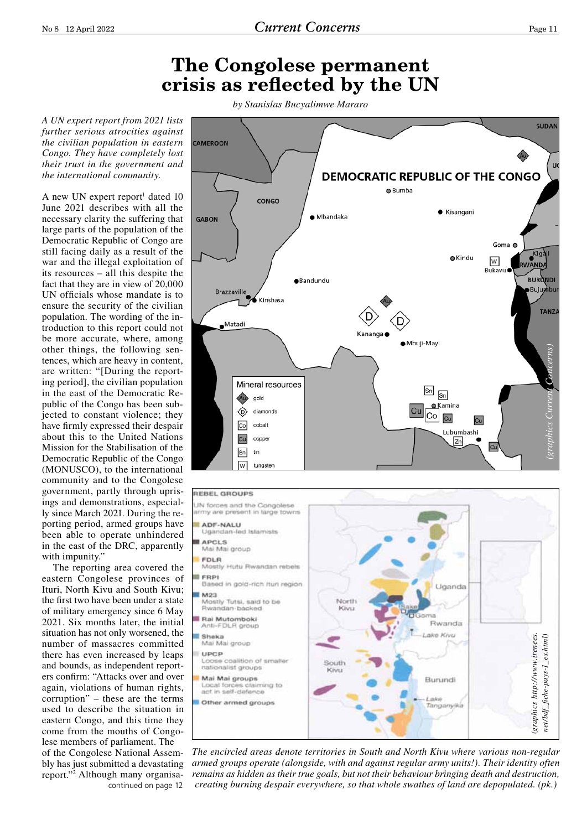## **The Congolese permanent crisis as reflected by the UN**

*A UN expert report from 2021 lists further serious atrocities against the civilian population in eastern Congo. They have completely lost their trust in the government and the international community.*

A new UN expert report<sup>1</sup> dated 10 June 2021 describes with all the necessary clarity the suffering that large parts of the population of the Democratic Republic of Congo are still facing daily as a result of the war and the illegal exploitation of its resources – all this despite the fact that they are in view of 20,000 UN officials whose mandate is to ensure the security of the civilian population. The wording of the introduction to this report could not be more accurate, where, among other things, the following sentences, which are heavy in content, are written: "[During the reporting period], the civilian population in the east of the Democratic Republic of the Congo has been subjected to constant violence; they have firmly expressed their despair about this to the United Nations Mission for the Stabilisation of the Democratic Republic of the Congo (MONUSCO), to the international community and to the Congolese government, partly through uprisings and demonstrations, especially since March 2021. During the reporting period, armed groups have been able to operate unhindered in the east of the DRC, apparently with impunity."

The reporting area covered the eastern Congolese provinces of Ituri, North Kivu and South Kivu; the first two have been under a state of military emergency since 6 May 2021. Six months later, the initial situation has not only worsened, the number of massacres committed there has even increased by leaps and bounds, as independent reporters confirm: "Attacks over and over again, violations of human rights, corruption" – these are the terms used to describe the situation in eastern Congo, and this time they come from the mouths of Congolese members of parliament. The of the Congolese National Assembly has just submitted a devastating report."2 Although many organisacontinued on page 12

*by Stanislas Bucyalimwe Mararo*





*The encircled areas denote territories in South and North Kivu where various non-regular armed groups operate (alongside, with and against regular army units!). Their identity often remains as hidden as their true goals, but not their behaviour bringing death and destruction,*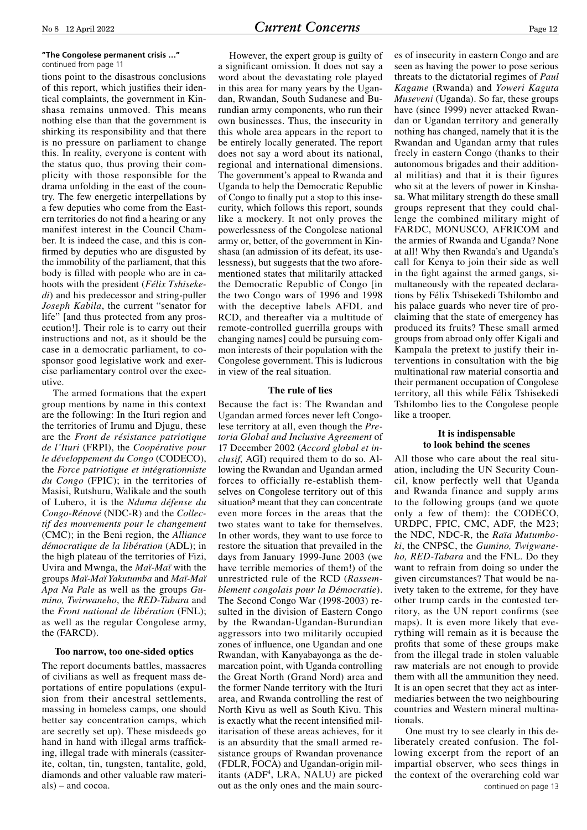#### **"The Congolese permanent crisis …"** continued from page 11

tions point to the disastrous conclusions of this report, which justifies their identical complaints, the government in Kinshasa remains unmoved. This means nothing else than that the government is shirking its responsibility and that there is no pressure on parliament to change this. In reality, everyone is content with the status quo, thus proving their complicity with those responsible for the drama unfolding in the east of the country. The few energetic interpellations by a few deputies who come from the Eastern territories do not find a hearing or any manifest interest in the Council Chamber. It is indeed the case, and this is confirmed by deputies who are disgusted by the immobility of the parliament, that this body is filled with people who are in cahoots with the president (*Félix Tshisekedi*) and his predecessor and string-puller *Joseph Kabila*, the current "senator for life" [and thus protected from any prosecution!]. Their role is to carry out their instructions and not, as it should be the case in a democratic parliament, to cosponsor good legislative work and exercise parliamentary control over the executive.

The armed formations that the expert group mentions by name in this context are the following: In the Ituri region and the territories of Irumu and Djugu, these are the *Front de résistance patriotique de l'Ituri* (FRPI), the *Coopérative pour le développement du Congo* (CODECO), the *Force patriotique et intégrationniste du Congo* (FPIC); in the territories of Masisi, Rutshuru, Walikale and the south of Lubero, it is the *Nduma défense du Congo-Rénové* (NDC-R) and the *Collectif des mouvements pour le changement* (CMC); in the Beni region, the *Alliance démocratique de la libération* (ADL); in the high plateau of the territories of Fizi, Uvira and Mwnga, the *Maï-Maï* with the groups *Maï-Maï Yakutumba* and *Maï-Maï Apa Na Pale* as well as the groups *Gumino, Twirwaneho*, the *RED-Tabara* and the *Front national de libération* (FNL); as well as the regular Congolese army, the (FARCD).

#### **Too narrow, too one-sided optics**

The report documents battles, massacres of civilians as well as frequent mass deportations of entire populations (expulsion from their ancestral settlements, massing in homeless camps, one should better say concentration camps, which are secretly set up). These misdeeds go hand in hand with illegal arms trafficking, illegal trade with minerals (cassiterite, coltan, tin, tungsten, tantalite, gold, diamonds and other valuable raw materials) – and cocoa.

However, the expert group is guilty of a significant omission. It does not say a word about the devastating role played in this area for many years by the Ugandan, Rwandan, South Sudanese and Burundian army components, who run their own businesses. Thus, the insecurity in this whole area appears in the report to be entirely locally generated. The report does not say a word about its national, regional and international dimensions. The government's appeal to Rwanda and Uganda to help the Democratic Republic of Congo to finally put a stop to this insecurity, which follows this report, sounds like a mockery. It not only proves the powerlessness of the Congolese national army or, better, of the government in Kinshasa (an admission of its defeat, its uselessness), but suggests that the two aforementioned states that militarily attacked the Democratic Republic of Congo [in the two Congo wars of 1996 and 1998 with the deceptive labels AFDL and RCD, and thereafter via a multitude of remote-controlled guerrilla groups with changing names] could be pursuing common interests of their population with the Congolese government. This is ludicrous in view of the real situation.

#### **The rule of lies**

Because the fact is: The Rwandan and Ugandan armed forces never left Congolese territory at all, even though the *Pretoria Global and Inclusive Agreement* of 17 December 2002 (*Accord global et inclusif*, AGI) required them to do so. Allowing the Rwandan and Ugandan armed forces to officially re-establish themselves on Congolese territory out of this situation<sup>3</sup> meant that they can concentrate even more forces in the areas that the two states want to take for themselves. In other words, they want to use force to restore the situation that prevailed in the days from January 1999-June 2003 (we have terrible memories of them!) of the unrestricted rule of the RCD (*Rassemblement congolais pour la Démocratie*). The Second Congo War (1998-2003) resulted in the division of Eastern Congo by the Rwandan-Ugandan-Burundian aggressors into two militarily occupied zones of influence, one Ugandan and one Rwandan, with Kanyabayonga as the demarcation point, with Uganda controlling the Great North (Grand Nord) area and the former Nande territory with the Ituri area, and Rwanda controlling the rest of North Kivu as well as South Kivu. This is exactly what the recent intensified militarisation of these areas achieves, for it is an absurdity that the small armed resistance groups of Rwandan provenance (FDLR, FOCA) and Ugandan-origin militants (ADF4 , LRA, NALU) are picked out as the only ones and the main sources of insecurity in eastern Congo and are seen as having the power to pose serious threats to the dictatorial regimes of *Paul Kagame* (Rwanda) and *Yoweri Kaguta Museveni* (Uganda). So far, these groups have (since 1999) never attacked Rwandan or Ugandan territory and generally nothing has changed, namely that it is the Rwandan and Ugandan army that rules freely in eastern Congo (thanks to their autonomous brigades and their additional militias) and that it is their figures who sit at the levers of power in Kinshasa. What military strength do these small groups represent that they could challenge the combined military might of FARDC, MONUSCO, AFRICOM and the armies of Rwanda and Uganda? None at all! Why then Rwanda's and Uganda's call for Kenya to join their side as well in the fight against the armed gangs, simultaneously with the repeated declarations by Félix Tshisekedi Tshilombo and his palace guards who never tire of proclaiming that the state of emergency has produced its fruits? These small armed groups from abroad only offer Kigali and Kampala the pretext to justify their interventions in consultation with the big multinational raw material consortia and their permanent occupation of Congolese territory, all this while Félix Tshisekedi Tshilombo lies to the Congolese people like a trooper.

#### **It is indispensable to look behind the scenes**

All those who care about the real situation, including the UN Security Council, know perfectly well that Uganda and Rwanda finance and supply arms to the following groups (and we quote only a few of them): the CODECO, URDPC, FPIC, CMC, ADF, the M23; the NDC, NDC-R, the *Raïa Mutumboki*, the CNPSC, the *Gumino, Twigwaneho, RED-Tabara* and the FNL. Do they want to refrain from doing so under the given circumstances? That would be naivety taken to the extreme, for they have other trump cards in the contested territory, as the UN report confirms (see maps). It is even more likely that everything will remain as it is because the profits that some of these groups make from the illegal trade in stolen valuable raw materials are not enough to provide them with all the ammunition they need. It is an open secret that they act as intermediaries between the two neighbouring countries and Western mineral multinationals.

One must try to see clearly in this deliberately created confusion. The following excerpt from the report of an impartial observer, who sees things in the context of the overarching cold war continued on page 13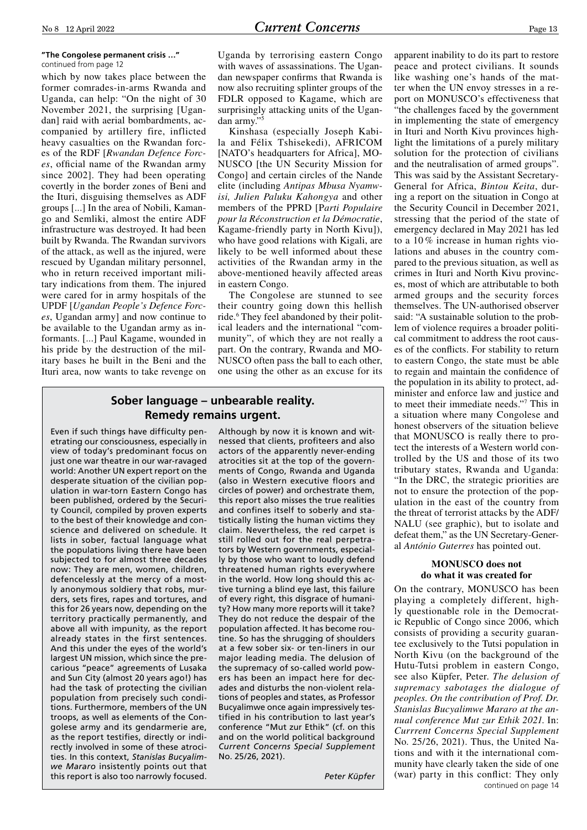#### **"The Congolese permanent crisis …"** continued from page 12

which by now takes place between the former comrades-in-arms Rwanda and Uganda, can help: "On the night of 30 November 2021, the surprising [Ugandan] raid with aerial bombardments, accompanied by artillery fire, inflicted heavy casualties on the Rwandan forces of the RDF [*Rwandan Defence Forces*, official name of the Rwandan army since 2002]. They had been operating covertly in the border zones of Beni and the Ituri, disguising themselves as ADF groups [...] In the area of Nobili, Kamango and Semliki, almost the entire ADF infrastructure was destroyed. It had been built by Rwanda. The Rwandan survivors of the attack, as well as the injured, were rescued by Ugandan military personnel, who in return received important military indications from them. The injured were cared for in army hospitals of the UPDF [*Ugandan People's Defence Forces*, Ugandan army] and now continue to be available to the Ugandan army as informants. [...] Paul Kagame, wounded in his pride by the destruction of the military bases he built in the Beni and the Ituri area, now wants to take revenge on Uganda by terrorising eastern Congo with waves of assassinations. The Ugandan newspaper confirms that Rwanda is now also recruiting splinter groups of the FDLR opposed to Kagame, which are surprisingly attacking units of the Ugandan army."

Kinshasa (especially Joseph Kabila and Félix Tshisekedi), AFRICOM [NATO's headquarters for Africa], MO-NUSCO [the UN Security Mission for Congo] and certain circles of the Nande elite (including *Antipas Mbusa Nyamwisi, Julien Paluku Kahongya* and other members of the PPRD [P*arti Populaire pour la Réconstruction et la Démocratie*, Kagame-friendly party in North Kivu]), who have good relations with Kigali, are likely to be well informed about these activities of the Rwandan army in the above-mentioned heavily affected areas in eastern Congo.

The Congolese are stunned to see their country going down this hellish ride.<sup>6</sup> They feel abandoned by their political leaders and the international "community", of which they are not really a part. On the contrary, Rwanda and MO-NUSCO often pass the ball to each other, one using the other as an excuse for its

## **Sober language – unbearable reality. Remedy remains urgent.**

Even if such things have difficulty penetrating our consciousness, especially in view of today's predominant focus on just one war theatre in our war-ravaged world: Another UN expert report on the desperate situation of the civilian population in war-torn Eastern Congo has been published, ordered by the Security Council, compiled by proven experts to the best of their knowledge and conscience and delivered on schedule. It lists in sober, factual language what the populations living there have been subjected to for almost three decades now: They are men, women, children, defencelessly at the mercy of a mostly anonymous soldiery that robs, murders, sets fires, rapes and tortures, and this for 26 years now, depending on the territory practically permanently, and above all with impunity, as the report already states in the first sentences. And this under the eyes of the world's largest UN mission, which since the precarious "peace" agreements of Lusaka and Sun City (almost 20 years ago!) has had the task of protecting the civilian population from precisely such conditions. Furthermore, members of the UN troops, as well as elements of the Congolese army and its gendarmerie are, as the report testifies, directly or indirectly involved in some of these atrocities. In this context, *Stanislas Bucyalimwe Mararo* insistently points out that this report is also too narrowly focused.

Although by now it is known and witnessed that clients, profiteers and also actors of the apparently never-ending atrocities sit at the top of the governments of Congo, Rwanda and Uganda (also in Western executive floors and circles of power) and orchestrate them, this report also misses the true realities and confines itself to soberly and statistically listing the human victims they claim. Nevertheless, the red carpet is still rolled out for the real perpetrators by Western governments, especially by those who want to loudly defend threatened human rights everywhere in the world. How long should this active turning a blind eye last, this failure of every right, this disgrace of humanity? How many more reports will it take? They do not reduce the despair of the population affected. It has become routine. So has the shrugging of shoulders at a few sober six- or ten-liners in our major leading media. The delusion of the supremacy of so-called world powers has been an impact here for decades and disturbs the non-violent relations of peoples and states, as Professor Bucyalimwe once again impressively testified in his contribution to last year's conference "Mut zur Ethik" (cf. on this and on the world political background *Current Concerns Special Supplement* No. 25/26, 2021).

*Peter Küpfer*

apparent inability to do its part to restore peace and protect civilians. It sounds like washing one's hands of the matter when the UN envoy stresses in a report on MONUSCO's effectiveness that "the challenges faced by the government in implementing the state of emergency in Ituri and North Kivu provinces highlight the limitations of a purely military solution for the protection of civilians and the neutralisation of armed groups". This was said by the Assistant Secretary-General for Africa, *Bintou Keita*, during a report on the situation in Congo at the Security Council in December 2021, stressing that the period of the state of emergency declared in May 2021 has led to a 10 % increase in human rights violations and abuses in the country compared to the previous situation, as well as crimes in Ituri and North Kivu provinces, most of which are attributable to both armed groups and the security forces themselves. The UN-authorised observer said: "A sustainable solution to the problem of violence requires a broader political commitment to address the root causes of the conflicts. For stability to return to eastern Congo, the state must be able to regain and maintain the confidence of the population in its ability to protect, administer and enforce law and justice and to meet their immediate needs."7 This in a situation where many Congolese and honest observers of the situation believe that MONUSCO is really there to protect the interests of a Western world controlled by the US and those of its two tributary states, Rwanda and Uganda: "In the DRC, the strategic priorities are not to ensure the protection of the population in the east of the country from the threat of terrorist attacks by the ADF/ NALU (see graphic), but to isolate and defeat them," as the UN Secretary-General *António Guterres* has pointed out.

#### **MONUSCO does not do what it was created for**

On the contrary, MONUSCO has been playing a completely different, highly questionable role in the Democratic Republic of Congo since 2006, which consists of providing a security guarantee exclusively to the Tutsi population in North Kivu (on the background of the Hutu-Tutsi problem in eastern Congo, see also Küpfer, Peter. *The delusion of supremacy sabotages the dialogue of peoples. On the contribution of Prof. Dr. Stanislas Bucyalimwe Mararo at the annual conference Mut zur Ethik 2021*. In: *Currrent Concerns Special Supplement* No. 25/26, 2021). Thus, the United Nations and with it the international community have clearly taken the side of one (war) party in this conflict: They only continued on page 14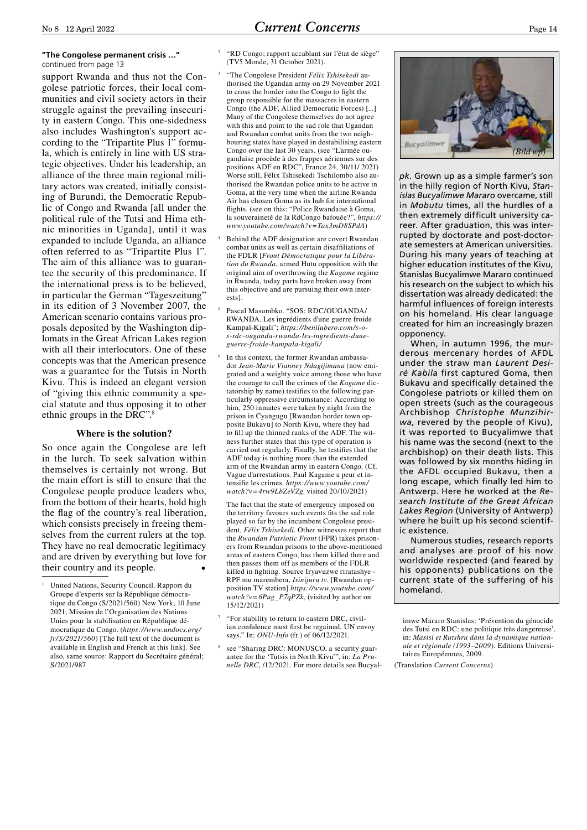support Rwanda and thus not the Congolese patriotic forces, their local communities and civil society actors in their struggle against the prevailing insecurity in eastern Congo. This one-sidedness also includes Washington's support according to the "Tripartite Plus 1" formula, which is entirely in line with US strategic objectives. Under his leadership, an alliance of the three main regional military actors was created, initially consisting of Burundi, the Democratic Republic of Congo and Rwanda [all under the political rule of the Tutsi and Hima ethnic minorities in Uganda], until it was expanded to include Uganda, an alliance often referred to as "Tripartite Plus 1". The aim of this alliance was to guarantee the security of this predominance. If the international press is to be believed, in particular the German "Tageszeitung" in its edition of 3 November 2007, the American scenario contains various proposals deposited by the Washington diplomats in the Great African Lakes region with all their interlocutors. One of these concepts was that the American presence was a guarantee for the Tutsis in North Kivu. This is indeed an elegant version of "giving this ethnic community a special statute and thus opposing it to other ethnic groups in the DRC".8

#### **Where is the solution?**

So once again the Congolese are left in the lurch. To seek salvation within themselves is certainly not wrong. But the main effort is still to ensure that the Congolese people produce leaders who, from the bottom of their hearts, hold high the flag of the country's real liberation, which consists precisely in freeing themselves from the current rulers at the top. They have no real democratic legitimacy and are driven by everything but love for their country and its people. •

- "RD Congo: rapport accablant sur l'état de siège" (TV5 Monde, 31 October 2021).
- <sup>3</sup> "The Congolese President *Félix Tshisekedi* authorised the Ugandan army on 29 November 2021 to cross the border into the Congo to fight the group responsible for the massacres in eastern Congo (the ADF, Allied Democratic Forces) [...] Many of the Congolese themselves do not agree with this and point to the sad role that Ugandan and Rwandan combat units from the two neighbouring states have played in destabilising eastern Congo over the last 30 years. (see "L'armée ougandaise procède à des frappes aériennes sur des positions ADF en RDC", France 24, 30/11/ 2021) Worse still, Félix Tshisekedi Tschilombo also authorised the Rwandan police units to be active in Goma, at the very time when the airline Rwanda Air has chosen Goma as its hub for international flights. (see on this: "Police Rwandaise à Goma, la souveraineté de la RdCongo bafouée?", *https:// www.youtube.com/watch?v=Tax3mD8SPdA*)
- Behind the ADF designation are covert Rwandan combat units as well as certain disaffiliations of the FDLR [*Front Démocratique pour la Libération du Rwanda*, armed Hutu opposition with the original aim of overthrowing the *Kagame* regime in Rwanda, today parts have broken away from this objective and are pursuing their own interests].
- <sup>5</sup> Pascal Masumbko. "SOS: RDC/OUGANDA/ RWANDA. Les ingrédients d'une guerre froide Kampal-Kigali"; *https://benilubero.com/s-os-rdc-ouganda-rwanda-les-ingredients-duneguerre-froide-kampala-kigali/*
- In this context, the former Rwandan ambassador *Jean-Marie Vianney Ndagijimana* (now emigrated and a weighty voice among those who have the courage to call the crimes of the *Kagame* dictatorship by name) testifies to the following particularly oppressive circumstance: According to him, 250 inmates were taken by night from the prison in Cyangugu [Rwandan border town opposite Bukavu] to North Kivu, where they had to fill up the thinned ranks of the ADF. The witness further states that this type of operation is carried out regularly. Finally, he testifies that the ADF today is nothing more than the extended arm of the Rwandan army in eastern Congo. (Cf. Vague d'arrestations. Paul Kagame a peur et intensifie les crimes. *https://www.youtube.com/ watch?v=4rw9LbZeVZg*. visited 20/10/2021)

The fact that the state of emergency imposed on the territory favours such events fits the sad role played so far by the incumbent Congolese president, *Félix Tshisekedi*. Other witnesses report that the *Rwandan Patriotic Front* (FPR) takes prisoners from Rwandan prisons to the above-mentioned areas of eastern Congo, has them killed there and then passes them off as members of the FDLR killed in fighting. Source Iryavuzwe riratashye - RPF mu marembera, *Isinijuru tv*. [Rwandan opposition TV station] *https://www.youtube.com/ watch?v=6Pug\_P7qPZk*, (visited by author on 15/12/2021)

- "For stability to return to eastern DRC, civilian confidence must first be regained, UN envoy says." In: *ONU-Info* (fr.) of 06/12/2021.
- <sup>8</sup> see "Sharing DRC: MONUSCO, a security guarantee for the 'Tutsis in North Kivu'", in: *La Prunelle DRC*, /12/2021. For more details see Bucyal-



*pk*. Grown up as a simple farmer's son in the hilly region of North Kivu, *Stanislas Bucyalimwe Mararo* overcame, still in *Mobutu* times, all the hurdles of a then extremely difficult university career. After graduation, this was interrupted by doctorate and post-doctorate semesters at American universities. During his many years of teaching at higher education institutes of the Kivu, Stanislas Bucyalimwe Mararo continued his research on the subject to which his dissertation was already dedicated: the harmful influences of foreign interests on his homeland. His clear language created for him an increasingly brazen opponency.

When, in autumn 1996, the murderous mercenary hordes of AFDL under the straw man *Laurent Desiré Kabila* first captured Goma, then Bukavu and specifically detained the Congolese patriots or killed them on open streets (such as the courageous Archbishop *Christophe Munzihirwa*, revered by the people of Kivu), it was reported to Bucyalimwe that his name was the second (next to the archbishop) on their death lists. This was followed by six months hiding in the AFDL occupied Bukavu, then a long escape, which finally led him to Antwerp. Here he worked at the *Research Institute of the Great African Lakes Region* (University of Antwerp) where he built up his second scientific existence.

Numerous studies, research reports and analyses are proof of his now worldwide respected (and feared by his opponents) publications on the current state of the suffering of his homeland.

(Translation *Current Concerns*)

<sup>1</sup> United Nations, Security Council. Rapport du Groupe d'experts sur la République démocratique du Congo (S/2021/560) New York, 10 June 2021; Mission de l'Organisation des Nations Unies pour la stabilisation en République démocratique du Congo. (*https://www.undocs.org/ fr/S/2021/560*) [The full text of the document is available in English and French at this link]. See also, same source: Rapport du Secrétaire général; S/2021/987

imwe Mararo Stanislas: 'Prévention du génocide des Tutsi en RDC: une politique très dangereuse', in: *Masisi et Rutshru dans la dynamique nationale et régionale (1993–2009)*. Editions Universitaires Européennes, 2009.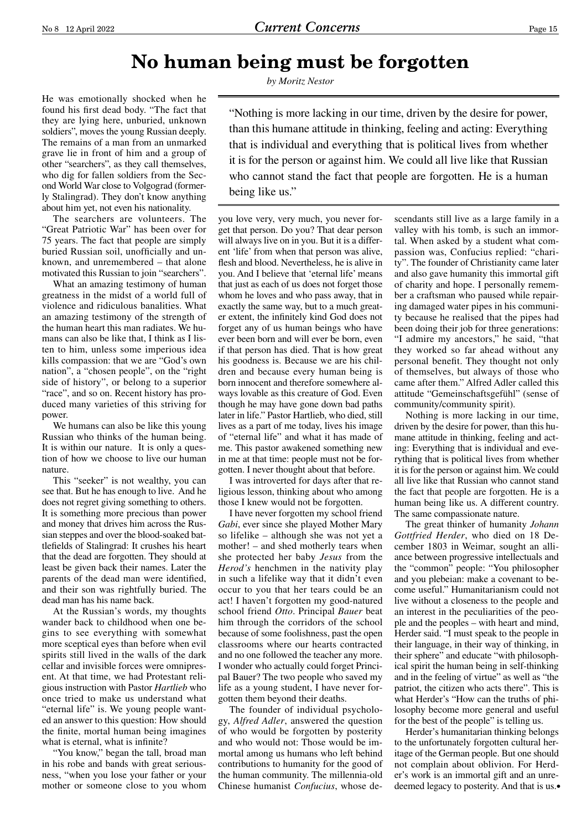# **No human being must be forgotten**

*by Moritz Nestor*

being like us."

"Nothing is more lacking in our time, driven by the desire for power, than this humane attitude in thinking, feeling and acting: Everything that is individual and everything that is political lives from whether it is for the person or against him. We could all live like that Russian who cannot stand the fact that people are forgotten. He is a human

He was emotionally shocked when he found his first dead body. "The fact that they are lying here, unburied, unknown soldiers", moves the young Russian deeply. The remains of a man from an unmarked grave lie in front of him and a group of other "searchers", as they call themselves, who dig for fallen soldiers from the Second World War close to Volgograd (formerly Stalingrad). They don't know anything about him yet, not even his nationality.

The searchers are volunteers. The "Great Patriotic War" has been over for 75 years. The fact that people are simply buried Russian soil, unofficially and unknown, and unremembered – that alone motivated this Russian to join "searchers".

What an amazing testimony of human greatness in the midst of a world full of violence and ridiculous banalities. What an amazing testimony of the strength of the human heart this man radiates. We humans can also be like that, I think as I listen to him, unless some imperious idea kills compassion: that we are "God's own nation", a "chosen people", on the "right side of history", or belong to a superior "race", and so on. Recent history has produced many varieties of this striving for power.

We humans can also be like this young Russian who thinks of the human being. It is within our nature. It is only a question of how we choose to live our human nature.

This "seeker" is not wealthy, you can see that. But he has enough to live. And he does not regret giving something to others. It is something more precious than power and money that drives him across the Russian steppes and over the blood-soaked battlefields of Stalingrad: It crushes his heart that the dead are forgotten. They should at least be given back their names. Later the parents of the dead man were identified, and their son was rightfully buried. The dead man has his name back.

At the Russian's words, my thoughts wander back to childhood when one begins to see everything with somewhat more sceptical eyes than before when evil spirits still lived in the walls of the dark cellar and invisible forces were omnipresent. At that time, we had Protestant religious instruction with Pastor *Hartlieb* who once tried to make us understand what "eternal life" is. We young people wanted an answer to this question: How should the finite, mortal human being imagines what is eternal, what is infinite?

"You know," began the tall, broad man in his robe and bands with great seriousness, "when you lose your father or your mother or someone close to you whom you love very, very much, you never forget that person. Do you? That dear person will always live on in you. But it is a different 'life' from when that person was alive, flesh and blood. Nevertheless, he is alive in you. And I believe that 'eternal life' means that just as each of us does not forget those whom he loves and who pass away, that in exactly the same way, but to a much greater extent, the infinitely kind God does not forget any of us human beings who have ever been born and will ever be born, even if that person has died. That is how great his goodness is. Because we are his children and because every human being is born innocent and therefore somewhere always lovable as this creature of God. Even though he may have gone down bad paths later in life." Pastor Hartlieb, who died, still lives as a part of me today, lives his image of "eternal life" and what it has made of me. This pastor awakened something new in me at that time: people must not be forgotten. I never thought about that before.

I was introverted for days after that religious lesson, thinking about who among those I knew would not be forgotten.

I have never forgotten my school friend *Gabi*, ever since she played Mother Mary so lifelike – although she was not yet a mother! – and shed motherly tears when she protected her baby *Jesus* from the *Herod's* henchmen in the nativity play in such a lifelike way that it didn't even occur to you that her tears could be an act! I haven't forgotten my good-natured school friend *Otto*. Principal *Bauer* beat him through the corridors of the school because of some foolishness, past the open classrooms where our hearts contracted and no one followed the teacher any more. I wonder who actually could forget Principal Bauer? The two people who saved my life as a young student, I have never forgotten them beyond their deaths.

The founder of individual psychology, *Alfred Adler*, answered the question of who would be forgotten by posterity and who would not: Those would be immortal among us humans who left behind contributions to humanity for the good of the human community. The millennia-old Chinese humanist *Confucius*, whose de-

scendants still live as a large family in a valley with his tomb, is such an immortal. When asked by a student what compassion was, Confucius replied: "charity". The founder of Christianity came later and also gave humanity this immortal gift of charity and hope. I personally remember a craftsman who paused while repairing damaged water pipes in his community because he realised that the pipes had been doing their job for three generations: "I admire my ancestors," he said, "that they worked so far ahead without any personal benefit. They thought not only of themselves, but always of those who came after them." Alfred Adler called this attitude "Gemeinschaftsgefühl" (sense of community/community spirit).

Nothing is more lacking in our time, driven by the desire for power, than this humane attitude in thinking, feeling and acting: Everything that is individual and everything that is political lives from whether it is for the person or against him. We could all live like that Russian who cannot stand the fact that people are forgotten. He is a human being like us. A different country. The same compassionate nature.

The great thinker of humanity *Johann Gottfried Herder*, who died on 18 December 1803 in Weimar, sought an alliance between progressive intellectuals and the "common" people: "You philosopher and you plebeian: make a covenant to become useful." Humanitarianism could not live without a closeness to the people and an interest in the peculiarities of the people and the peoples – with heart and mind, Herder said. "I must speak to the people in their language, in their way of thinking, in their sphere" and educate "with philosophical spirit the human being in self-thinking and in the feeling of virtue" as well as "the patriot, the citizen who acts there". This is what Herder's "How can the truths of philosophy become more general and useful for the best of the people" is telling us.

Herder's humanitarian thinking belongs to the unfortunately forgotten cultural heritage of the German people. But one should not complain about oblivion. For Herder's work is an immortal gift and an unredeemed legacy to posterity. And that is us.•